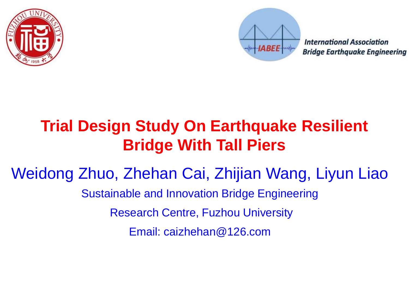



**International Association Bridge Earthquake Engineering** 

## **Trial Design Study On Earthquake Resilient Bridge With Tall Piers**

Weidong Zhuo, Zhehan Cai, Zhijian Wang, Liyun Liao

Sustainable and Innovation Bridge Engineering

Research Centre, Fuzhou University

Email: caizhehan@126.com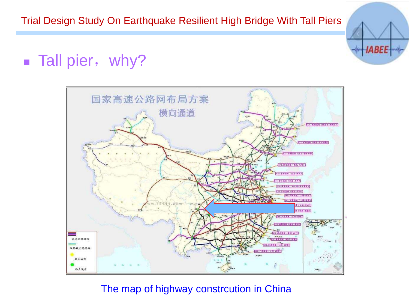

#### ■ Tall pier, why?



The map of highway constrcution in China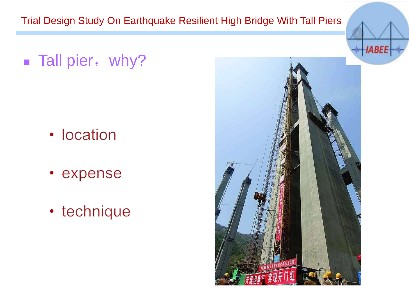■ Tall pier, why?

- location
- expense
- technique

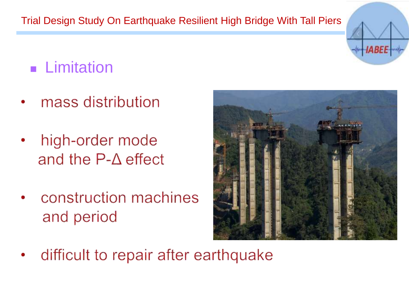

## ■ Limitation

- mass distribution
- high-order mode and the  $P-\Delta$  effect
- construction machines and period



difficult to repair after earthquake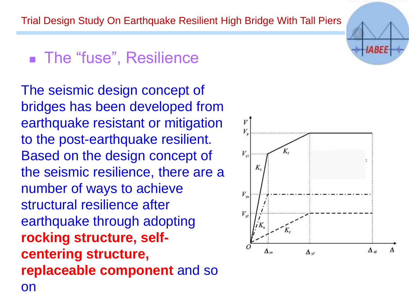## ■ The "fuse", Resilience

The seismic design concept of bridges has been developed from earthquake resistant or mitigation to the post-earthquake resilient. Based on the design concept of the seismic resilience, there are a number of ways to achieve structural resilience after earthquake through adopting **rocking structure, selfcentering structure, replaceable component** and so on

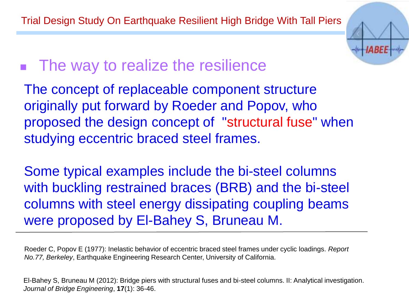

### ■ The way to realize the resilience

The concept of replaceable component structure originally put forward by Roeder and Popov, who proposed the design concept of "structural fuse" when studying eccentric braced steel frames.

Some typical examples include the bi-steel columns with buckling restrained braces (BRB) and the bi-steel columns with steel energy dissipating coupling beams were proposed by El-Bahey S, Bruneau M.

Roeder C, Popov E (1977): Inelastic behavior of eccentric braced steel frames under cyclic loadings. *Report No.77, Berkeley*, Earthquake Engineering Research Center, University of California.

El-Bahey S, Bruneau M (2012): Bridge piers with structural fuses and bi-steel columns. II: Analytical investigation. *Journal of Bridge Engineering*, **17**(1): 36-46.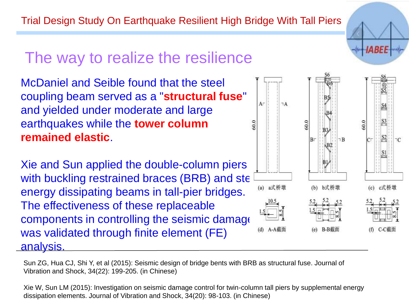#### The way to realize the resilience

McDaniel and Seible found that the steel coupling beam served as a "**structural fuse**" and yielded under moderate and large earthquakes while the **tower column remained elastic**.

Xie and Sun applied the double-column piers with buckling restrained braces (BRB) and ste energy dissipating beams in tall-pier bridges. The effectiveness of these replaceable components in controlling the seismic damage was validated through finite element (FE) analysis.



Sun ZG, Hua CJ, Shi Y, et al (2015): Seismic design of bridge bents with BRB as structural fuse. Journal of Vibration and Shock, 34(22): 199-205. (in Chinese)

Xie W, Sun LM (2015): Investigation on seismic damage control for twin-column tall piers by supplemental energy dissipation elements. Journal of Vibration and Shock, 34(20): 98-103. (in Chinese)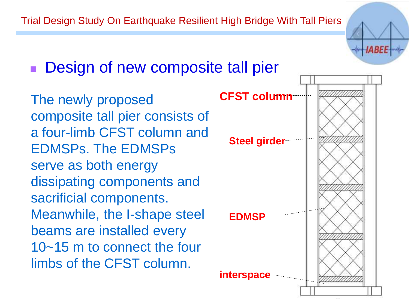

Design of new composite tall pier

The newly proposed composite tall pier consists of a four-limb CFST column and EDMSPs. The EDMSPs serve as both energy dissipating components and sacrificial components. Meanwhile, the I-shape steel beams are installed every 10~15 m to connect the four limbs of the CFST column.

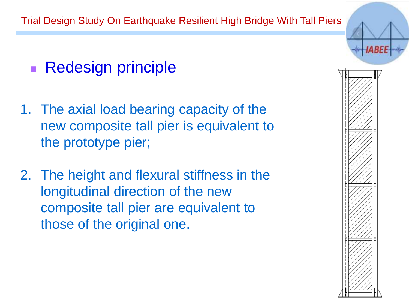

#### ■ Redesign principle

- 1. The axial load bearing capacity of the new composite tall pier is equivalent to the prototype pier;
- 2. The height and flexural stiffness in the longitudinal direction of the new composite tall pier are equivalent to those of the original one.

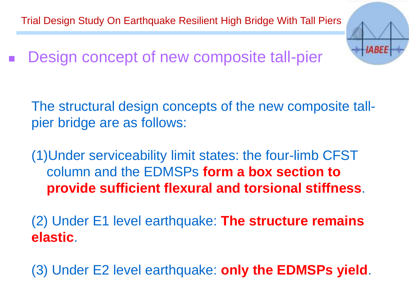Design concept of new composite tall-pier

The structural design concepts of the new composite tallpier bridge are as follows:

**HABEE** 

(1)Under serviceability limit states: the four-limb CFST column and the EDMSPs **form a box section to provide sufficient flexural and torsional stiffness**.

(2) Under E1 level earthquake: **The structure remains elastic**.

(3) Under E2 level earthquake: **only the EDMSPs yield**.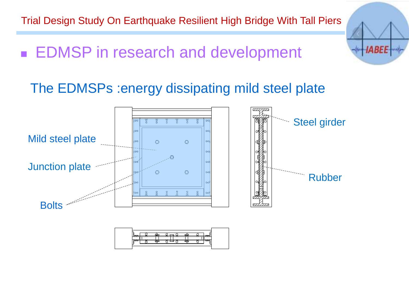**IABEE** 

■ EDMSP in research and development

#### The EDMSPs :energy dissipating mild steel plate

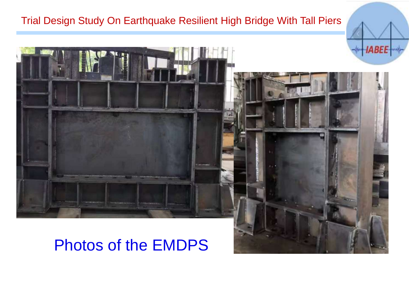

#### Photos of the EMDPS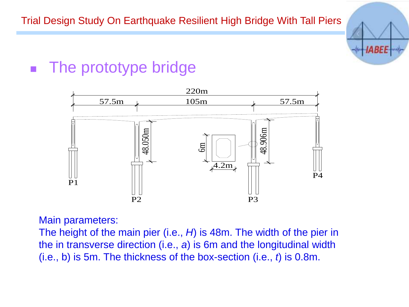

#### The prototype bridge



Main parameters:

The height of the main pier (i.e., *H*) is 48m. The width of the pier in the in transverse direction (i.e., *a*) is 6m and the longitudinal width (i.e., b) is 5m. The thickness of the box-section (i.e., *t*) is 0.8m.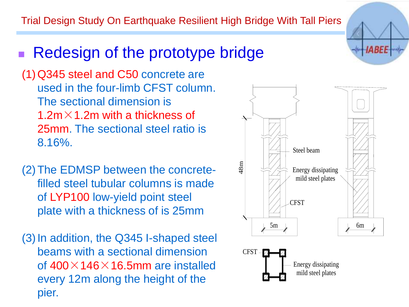#### Redesign of the prototype bridge

(1)Q345 steel and C50 concrete are used in the four-limb CFST column. The sectional dimension is 1.2m $\times$ 1.2m with a thickness of 25mm. The sectional steel ratio is 8.16%.

- (2)The EDMSP between the concretefilled steel tubular columns is made of LYP100 low-yield point steel plate with a thickness of is 25mm
- (3)In addition, the Q345 I-shaped steel beams with a sectional dimension of  $400\times$  146 $\times$  16.5mm are installed every 12m along the height of the pier.



*IABEE*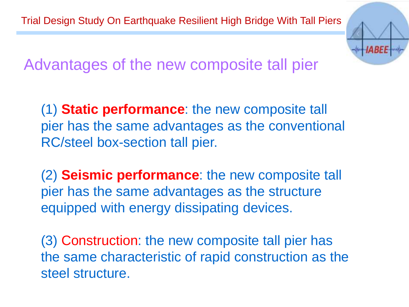

Advantages of the new composite tall pier

(1) **Static performance**: the new composite tall pier has the same advantages as the conventional RC/steel box-section tall pier.

(2) **Seismic performance**: the new composite tall pier has the same advantages as the structure equipped with energy dissipating devices.

(3) Construction: the new composite tall pier has the same characteristic of rapid construction as the steel structure.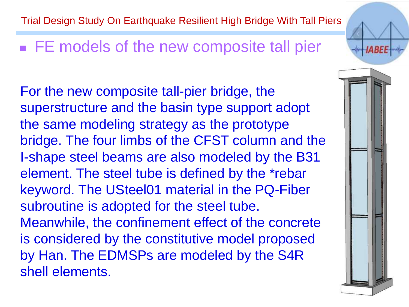#### ■ FE models of the new composite tall pier

For the new composite tall-pier bridge, the superstructure and the basin type support adopt the same modeling strategy as the prototype bridge. The four limbs of the CFST column and the I-shape steel beams are also modeled by the B31 element. The steel tube is defined by the \*rebar keyword. The USteel01 material in the PQ-Fiber subroutine is adopted for the steel tube. Meanwhile, the confinement effect of the concrete is considered by the constitutive model proposed by Han. The EDMSPs are modeled by the S4R shell elements.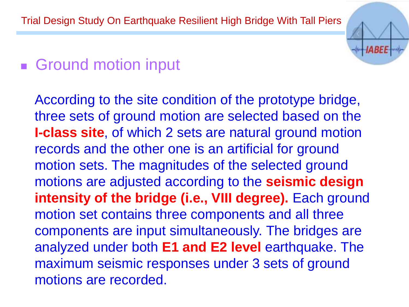## ■ Ground motion input

According to the site condition of the prototype bridge, three sets of ground motion are selected based on the **I-class site**, of which 2 sets are natural ground motion records and the other one is an artificial for ground motion sets. The magnitudes of the selected ground motions are adjusted according to the **seismic design**  intensity of the bridge (i.e., VIII degree). Each ground motion set contains three components and all three components are input simultaneously. The bridges are analyzed under both **E1 and E2 level** earthquake. The maximum seismic responses under 3 sets of ground motions are recorded.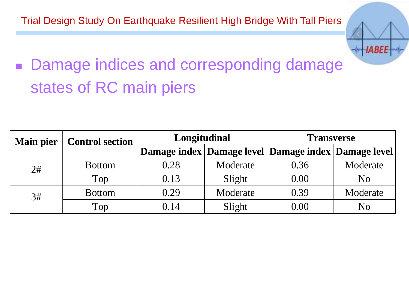

# ■ Damage indices and corresponding damage states of RC main piers

| <b>Main pier</b> | <b>Control section</b> | Longitudinal |          | <b>Transverse</b>                                         |                |
|------------------|------------------------|--------------|----------|-----------------------------------------------------------|----------------|
|                  |                        |              |          | Damage index   Damage level   Damage index   Damage level |                |
| 2#               | <b>Bottom</b>          | 0.28         | Moderate | 0.36                                                      | Moderate       |
|                  | Top                    | 0.13         | Slight   | 0.00                                                      | N <sub>o</sub> |
| 3#               | <b>Bottom</b>          | 0.29         | Moderate | 0.39                                                      | Moderate       |
|                  | Top                    | 0.14         | Slight   | 0.00                                                      | No             |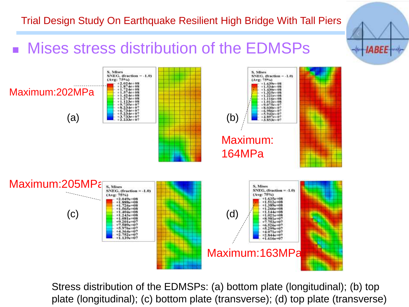*IABEE* 



Stress distribution of the EDMSPs: (a) bottom plate (longitudinal); (b) top plate (longitudinal); (c) bottom plate (transverse); (d) top plate (transverse)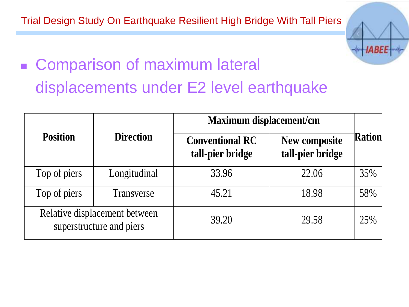

# ■ Comparison of maximum lateral displacements under E2 level earthquake

|                 |                                                           | <b>Maximum displacement/cm</b>             |                                   |               |  |
|-----------------|-----------------------------------------------------------|--------------------------------------------|-----------------------------------|---------------|--|
| <b>Position</b> | <b>Direction</b>                                          | <b>Conventional RC</b><br>tall-pier bridge | New composite<br>tall-pier bridge | <b>Ration</b> |  |
| Top of piers    | Longitudinal                                              | 33.96                                      | 22.06                             | 35%           |  |
| Top of piers    | Transverse                                                | 45.21                                      | 18.98                             | 58%           |  |
|                 | Relative displacement between<br>superstructure and piers | 39.20                                      | 29.58                             | 25%           |  |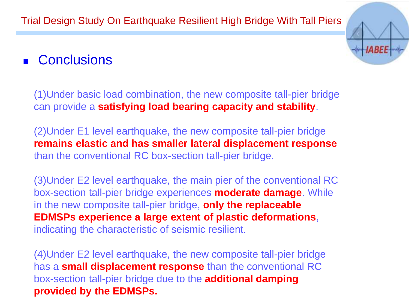#### ■ Conclusions

(1)Under basic load combination, the new composite tall-pier bridge can provide a **satisfying load bearing capacity and stability**.

(2)Under E1 level earthquake, the new composite tall-pier bridge **remains elastic and has smaller lateral displacement response**  than the conventional RC box-section tall-pier bridge.

(3)Under E2 level earthquake, the main pier of the conventional RC box-section tall-pier bridge experiences **moderate damage**. While in the new composite tall-pier bridge, **only the replaceable EDMSPs experience a large extent of plastic deformations**, indicating the characteristic of seismic resilient.

(4)Under E2 level earthquake, the new composite tall-pier bridge has a **small displacement response** than the conventional RC box-section tall-pier bridge due to the **additional damping provided by the EDMSPs.**